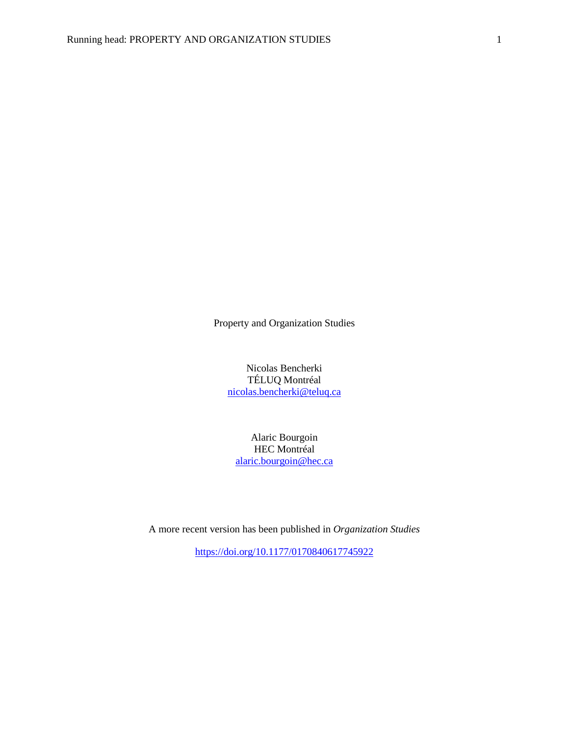Property and Organization Studies

Nicolas Bencherki TÉLUQ Montréal [nicolas.bencherki@teluq.ca](mailto:nicolas.bencherki@teluq.ca)

Alaric Bourgoin HEC Montréal [alaric.bourgoin@hec.ca](mailto:alaric.bourgoin@hec.ca)

A more recent version has been published in *Organization Studies*

<https://doi.org/10.1177/0170840617745922>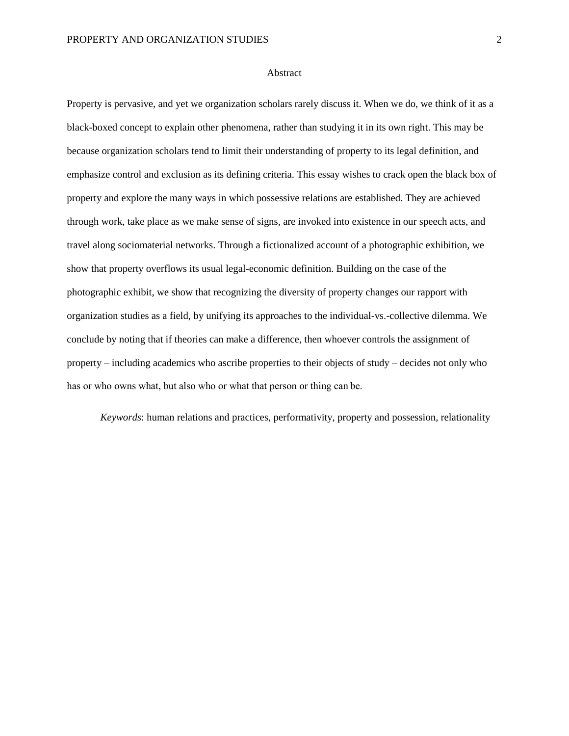#### Abstract

Property is pervasive, and yet we organization scholars rarely discuss it. When we do, we think of it as a black-boxed concept to explain other phenomena, rather than studying it in its own right. This may be because organization scholars tend to limit their understanding of property to its legal definition, and emphasize control and exclusion as its defining criteria. This essay wishes to crack open the black box of property and explore the many ways in which possessive relations are established. They are achieved through work, take place as we make sense of signs, are invoked into existence in our speech acts, and travel along sociomaterial networks. Through a fictionalized account of a photographic exhibition, we show that property overflows its usual legal-economic definition. Building on the case of the photographic exhibit, we show that recognizing the diversity of property changes our rapport with organization studies as a field, by unifying its approaches to the individual-vs.-collective dilemma. We conclude by noting that if theories can make a difference, then whoever controls the assignment of property – including academics who ascribe properties to their objects of study – decides not only who has or who owns what, but also who or what that person or thing can be.

*Keywords*: human relations and practices, performativity, property and possession, relationality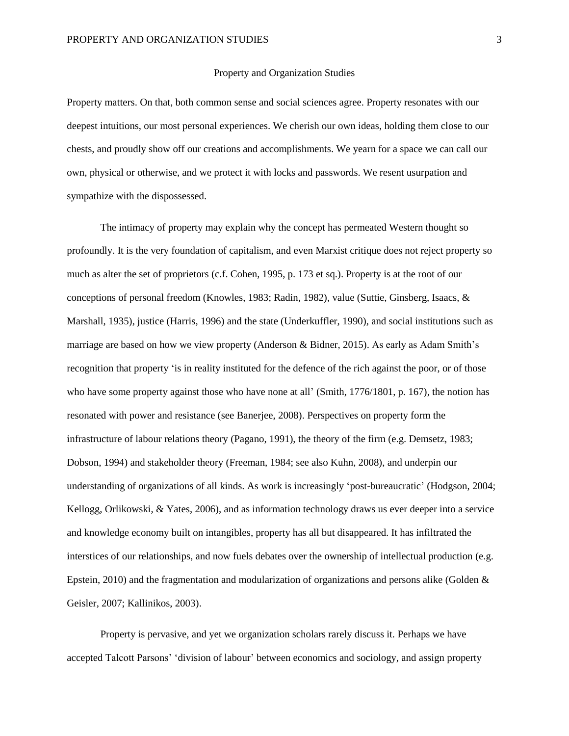#### Property and Organization Studies

Property matters. On that, both common sense and social sciences agree. Property resonates with our deepest intuitions, our most personal experiences. We cherish our own ideas, holding them close to our chests, and proudly show off our creations and accomplishments. We yearn for a space we can call our own, physical or otherwise, and we protect it with locks and passwords. We resent usurpation and sympathize with the dispossessed.

The intimacy of property may explain why the concept has permeated Western thought so profoundly. It is the very foundation of capitalism, and even Marxist critique does not reject property so much as alter the set of proprietors (c.f. Cohen, 1995, p. 173 et sq.). Property is at the root of our conceptions of personal freedom (Knowles, 1983; Radin, 1982), value (Suttie, Ginsberg, Isaacs, & Marshall, 1935), justice (Harris, 1996) and the state (Underkuffler, 1990), and social institutions such as marriage are based on how we view property (Anderson & Bidner, 2015). As early as Adam Smith's recognition that property 'is in reality instituted for the defence of the rich against the poor, or of those who have some property against those who have none at all' (Smith, 1776/1801, p. 167), the notion has resonated with power and resistance (see Banerjee, 2008). Perspectives on property form the infrastructure of labour relations theory (Pagano, 1991), the theory of the firm (e.g. Demsetz, 1983; Dobson, 1994) and stakeholder theory (Freeman, 1984; see also Kuhn, 2008), and underpin our understanding of organizations of all kinds. As work is increasingly 'post-bureaucratic' (Hodgson, 2004; Kellogg, Orlikowski, & Yates, 2006), and as information technology draws us ever deeper into a service and knowledge economy built on intangibles, property has all but disappeared. It has infiltrated the interstices of our relationships, and now fuels debates over the ownership of intellectual production (e.g. Epstein, 2010) and the fragmentation and modularization of organizations and persons alike (Golden & Geisler, 2007; Kallinikos, 2003).

Property is pervasive, and yet we organization scholars rarely discuss it. Perhaps we have accepted Talcott Parsons' 'division of labour' between economics and sociology, and assign property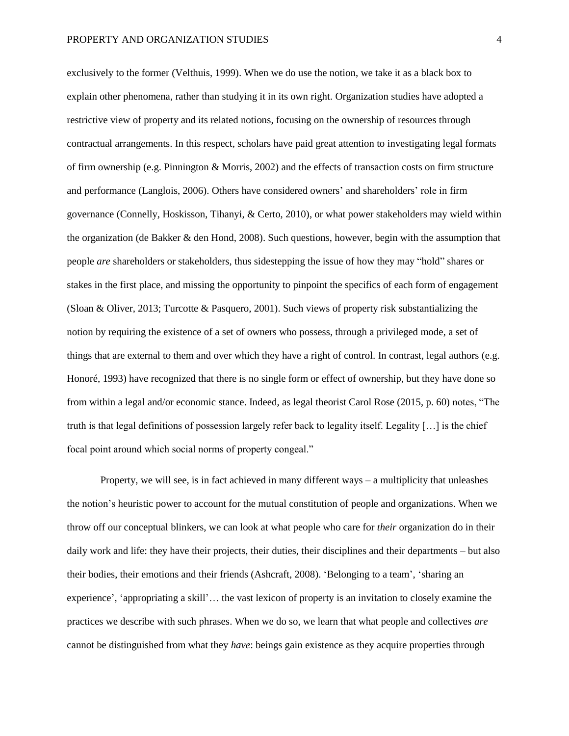exclusively to the former (Velthuis, 1999). When we do use the notion, we take it as a black box to explain other phenomena, rather than studying it in its own right. Organization studies have adopted a restrictive view of property and its related notions, focusing on the ownership of resources through contractual arrangements. In this respect, scholars have paid great attention to investigating legal formats of firm ownership (e.g. Pinnington & Morris, 2002) and the effects of transaction costs on firm structure and performance (Langlois, 2006). Others have considered owners' and shareholders' role in firm governance (Connelly, Hoskisson, Tihanyi, & Certo, 2010), or what power stakeholders may wield within the organization (de Bakker & den Hond, 2008). Such questions, however, begin with the assumption that people *are* shareholders or stakeholders, thus sidestepping the issue of how they may "hold" shares or stakes in the first place, and missing the opportunity to pinpoint the specifics of each form of engagement (Sloan & Oliver, 2013; Turcotte & Pasquero, 2001). Such views of property risk substantializing the notion by requiring the existence of a set of owners who possess, through a privileged mode, a set of things that are external to them and over which they have a right of control. In contrast, legal authors (e.g. Honoré, 1993) have recognized that there is no single form or effect of ownership, but they have done so from within a legal and/or economic stance. Indeed, as legal theorist Carol Rose (2015, p. 60) notes, "The truth is that legal definitions of possession largely refer back to legality itself. Legality […] is the chief focal point around which social norms of property congeal."

Property, we will see, is in fact achieved in many different ways – a multiplicity that unleashes the notion's heuristic power to account for the mutual constitution of people and organizations. When we throw off our conceptual blinkers, we can look at what people who care for *their* organization do in their daily work and life: they have their projects, their duties, their disciplines and their departments – but also their bodies, their emotions and their friends (Ashcraft, 2008). 'Belonging to a team', 'sharing an experience', 'appropriating a skill'… the vast lexicon of property is an invitation to closely examine the practices we describe with such phrases. When we do so, we learn that what people and collectives *are* cannot be distinguished from what they *have*: beings gain existence as they acquire properties through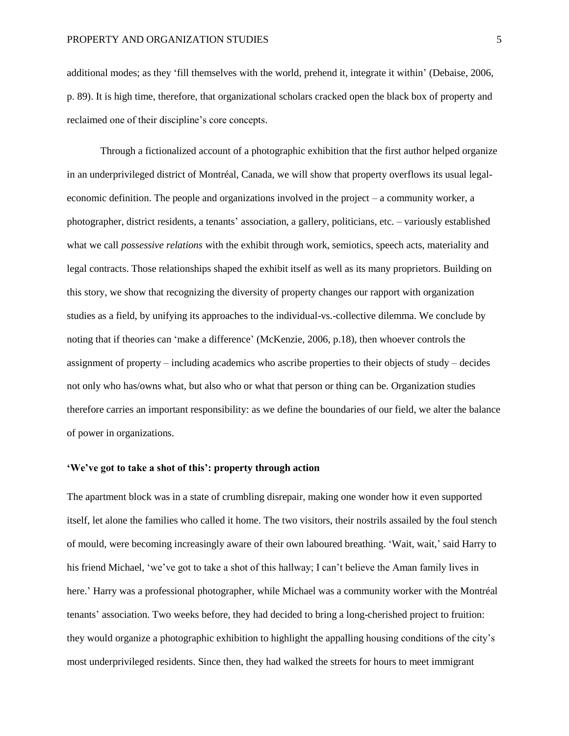additional modes; as they 'fill themselves with the world, prehend it, integrate it within' (Debaise, 2006, p. 89). It is high time, therefore, that organizational scholars cracked open the black box of property and reclaimed one of their discipline's core concepts.

Through a fictionalized account of a photographic exhibition that the first author helped organize in an underprivileged district of Montréal, Canada, we will show that property overflows its usual legaleconomic definition. The people and organizations involved in the project – a community worker, a photographer, district residents, a tenants' association, a gallery, politicians, etc. – variously established what we call *possessive relations* with the exhibit through work, semiotics, speech acts, materiality and legal contracts. Those relationships shaped the exhibit itself as well as its many proprietors. Building on this story, we show that recognizing the diversity of property changes our rapport with organization studies as a field, by unifying its approaches to the individual-vs.-collective dilemma. We conclude by noting that if theories can 'make a difference' (McKenzie, 2006, p.18), then whoever controls the assignment of property – including academics who ascribe properties to their objects of study – decides not only who has/owns what, but also who or what that person or thing can be. Organization studies therefore carries an important responsibility: as we define the boundaries of our field, we alter the balance of power in organizations.

## **'We've got to take a shot of this': property through action**

The apartment block was in a state of crumbling disrepair, making one wonder how it even supported itself, let alone the families who called it home. The two visitors, their nostrils assailed by the foul stench of mould, were becoming increasingly aware of their own laboured breathing. 'Wait, wait,' said Harry to his friend Michael, 'we've got to take a shot of this hallway; I can't believe the Aman family lives in here.' Harry was a professional photographer, while Michael was a community worker with the Montréal tenants' association. Two weeks before, they had decided to bring a long-cherished project to fruition: they would organize a photographic exhibition to highlight the appalling housing conditions of the city's most underprivileged residents. Since then, they had walked the streets for hours to meet immigrant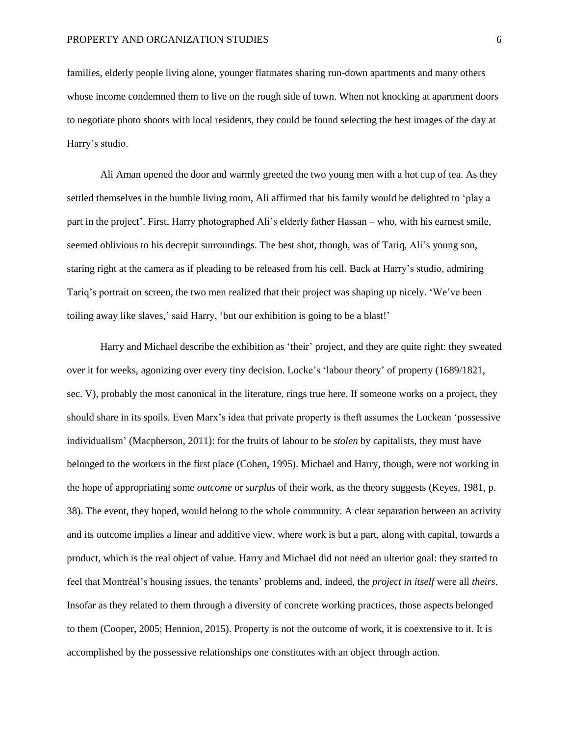families, elderly people living alone, younger flatmates sharing run-down apartments and many others whose income condemned them to live on the rough side of town. When not knocking at apartment doors to negotiate photo shoots with local residents, they could be found selecting the best images of the day at Harry's studio.

Ali Aman opened the door and warmly greeted the two young men with a hot cup of tea. As they settled themselves in the humble living room, Ali affirmed that his family would be delighted to 'play a part in the project'. First, Harry photographed Ali's elderly father Hassan – who, with his earnest smile, seemed oblivious to his decrepit surroundings. The best shot, though, was of Tariq, Ali's young son, staring right at the camera as if pleading to be released from his cell. Back at Harry's studio, admiring Tariq's portrait on screen, the two men realized that their project was shaping up nicely. 'We've been toiling away like slaves,' said Harry, 'but our exhibition is going to be a blast!'

Harry and Michael describe the exhibition as 'their' project, and they are quite right: they sweated over it for weeks, agonizing over every tiny decision. Locke's 'labour theory' of property (1689/1821, sec. V), probably the most canonical in the literature, rings true here. If someone works on a project, they should share in its spoils. Even Marx's idea that private property is theft assumes the Lockean 'possessive individualism' (Macpherson, 2011): for the fruits of labour to be *stolen* by capitalists, they must have belonged to the workers in the first place (Cohen, 1995). Michael and Harry, though, were not working in the hope of appropriating some *outcome* or *surplus* of their work, as the theory suggests (Keyes, 1981, p. 38). The event, they hoped, would belong to the whole community. A clear separation between an activity and its outcome implies a linear and additive view, where work is but a part, along with capital, towards a product, which is the real object of value. Harry and Michael did not need an ulterior goal: they started to feel that Montréal's housing issues, the tenants' problems and, indeed, the *project in itself* were all *theirs*. Insofar as they related to them through a diversity of concrete working practices, those aspects belonged to them (Cooper, 2005; Hennion, 2015). Property is not the outcome of work, it is coextensive to it. It is accomplished by the possessive relationships one constitutes with an object through action.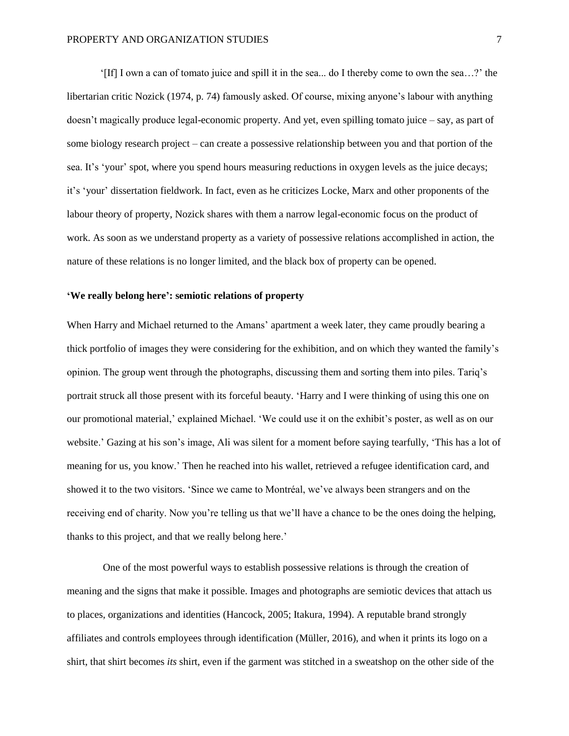'[If] I own a can of tomato juice and spill it in the sea... do I thereby come to own the sea…?' the libertarian critic Nozick (1974, p. 74) famously asked. Of course, mixing anyone's labour with anything doesn't magically produce legal-economic property. And yet, even spilling tomato juice – say, as part of some biology research project – can create a possessive relationship between you and that portion of the sea. It's 'your' spot, where you spend hours measuring reductions in oxygen levels as the juice decays; it's 'your' dissertation fieldwork. In fact, even as he criticizes Locke, Marx and other proponents of the labour theory of property, Nozick shares with them a narrow legal-economic focus on the product of work. As soon as we understand property as a variety of possessive relations accomplished in action, the nature of these relations is no longer limited, and the black box of property can be opened.

# **'We really belong here': semiotic relations of property**

When Harry and Michael returned to the Amans' apartment a week later, they came proudly bearing a thick portfolio of images they were considering for the exhibition, and on which they wanted the family's opinion. The group went through the photographs, discussing them and sorting them into piles. Tariq's portrait struck all those present with its forceful beauty. 'Harry and I were thinking of using this one on our promotional material,' explained Michael. 'We could use it on the exhibit's poster, as well as on our website.' Gazing at his son's image, Ali was silent for a moment before saying tearfully, 'This has a lot of meaning for us, you know.' Then he reached into his wallet, retrieved a refugee identification card, and showed it to the two visitors. 'Since we came to Montréal, we've always been strangers and on the receiving end of charity. Now you're telling us that we'll have a chance to be the ones doing the helping, thanks to this project, and that we really belong here.'

One of the most powerful ways to establish possessive relations is through the creation of meaning and the signs that make it possible. Images and photographs are semiotic devices that attach us to places, organizations and identities (Hancock, 2005; Itakura, 1994). A reputable brand strongly affiliates and controls employees through identification (Müller, 2016), and when it prints its logo on a shirt, that shirt becomes *its* shirt, even if the garment was stitched in a sweatshop on the other side of the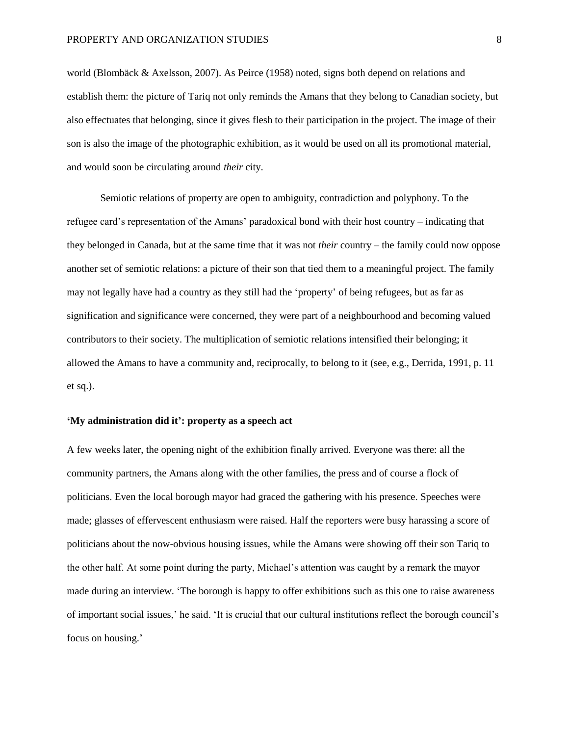world (Blombäck & Axelsson, 2007). As Peirce (1958) noted, signs both depend on relations and establish them: the picture of Tariq not only reminds the Amans that they belong to Canadian society, but also effectuates that belonging, since it gives flesh to their participation in the project. The image of their son is also the image of the photographic exhibition, as it would be used on all its promotional material, and would soon be circulating around *their* city.

Semiotic relations of property are open to ambiguity, contradiction and polyphony. To the refugee card's representation of the Amans' paradoxical bond with their host country – indicating that they belonged in Canada, but at the same time that it was not *their* country – the family could now oppose another set of semiotic relations: a picture of their son that tied them to a meaningful project. The family may not legally have had a country as they still had the 'property' of being refugees, but as far as signification and significance were concerned, they were part of a neighbourhood and becoming valued contributors to their society. The multiplication of semiotic relations intensified their belonging; it allowed the Amans to have a community and, reciprocally, to belong to it (see, e.g., Derrida, 1991, p. 11 et sq.).

# **'My administration did it': property as a speech act**

A few weeks later, the opening night of the exhibition finally arrived. Everyone was there: all the community partners, the Amans along with the other families, the press and of course a flock of politicians. Even the local borough mayor had graced the gathering with his presence. Speeches were made; glasses of effervescent enthusiasm were raised. Half the reporters were busy harassing a score of politicians about the now-obvious housing issues, while the Amans were showing off their son Tariq to the other half. At some point during the party, Michael's attention was caught by a remark the mayor made during an interview. 'The borough is happy to offer exhibitions such as this one to raise awareness of important social issues,' he said. 'It is crucial that our cultural institutions reflect the borough council's focus on housing.'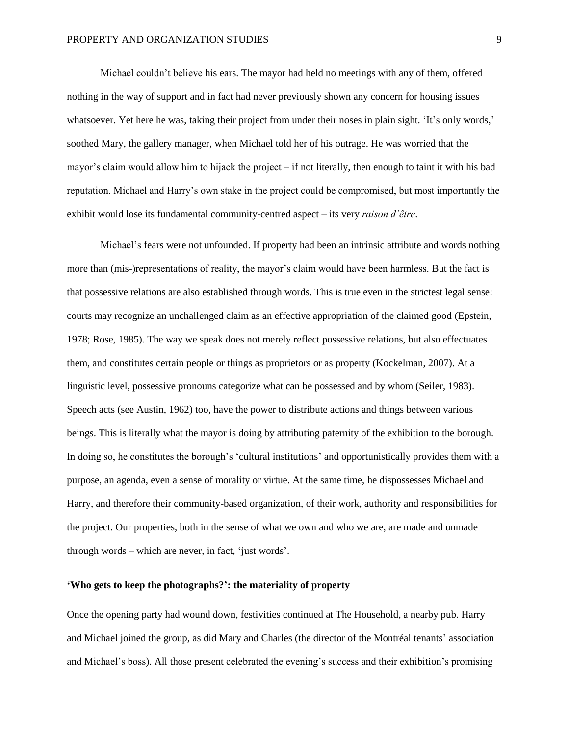Michael couldn't believe his ears. The mayor had held no meetings with any of them, offered nothing in the way of support and in fact had never previously shown any concern for housing issues whatsoever. Yet here he was, taking their project from under their noses in plain sight. 'It's only words,' soothed Mary, the gallery manager, when Michael told her of his outrage. He was worried that the mayor's claim would allow him to hijack the project – if not literally, then enough to taint it with his bad reputation. Michael and Harry's own stake in the project could be compromised, but most importantly the exhibit would lose its fundamental community-centred aspect – its very *raison d'être*.

Michael's fears were not unfounded. If property had been an intrinsic attribute and words nothing more than (mis-)representations of reality, the mayor's claim would have been harmless. But the fact is that possessive relations are also established through words. This is true even in the strictest legal sense: courts may recognize an unchallenged claim as an effective appropriation of the claimed good (Epstein, 1978; Rose, 1985). The way we speak does not merely reflect possessive relations, but also effectuates them, and constitutes certain people or things as proprietors or as property (Kockelman, 2007). At a linguistic level, possessive pronouns categorize what can be possessed and by whom (Seiler, 1983). Speech acts (see Austin, 1962) too, have the power to distribute actions and things between various beings. This is literally what the mayor is doing by attributing paternity of the exhibition to the borough. In doing so, he constitutes the borough's 'cultural institutions' and opportunistically provides them with a purpose, an agenda, even a sense of morality or virtue. At the same time, he dispossesses Michael and Harry, and therefore their community-based organization, of their work, authority and responsibilities for the project. Our properties, both in the sense of what we own and who we are, are made and unmade through words – which are never, in fact, 'just words'.

# **'Who gets to keep the photographs?': the materiality of property**

Once the opening party had wound down, festivities continued at The Household, a nearby pub. Harry and Michael joined the group, as did Mary and Charles (the director of the Montréal tenants' association and Michael's boss). All those present celebrated the evening's success and their exhibition's promising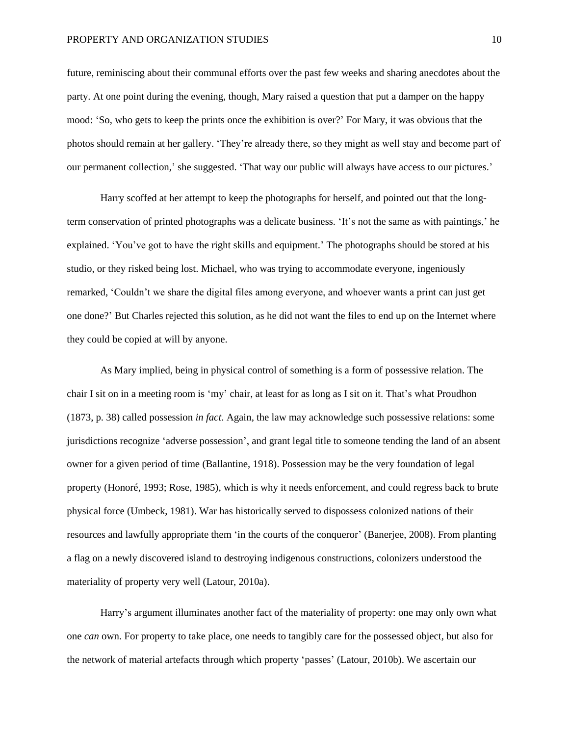#### PROPERTY AND ORGANIZATION STUDIES 10

future, reminiscing about their communal efforts over the past few weeks and sharing anecdotes about the party. At one point during the evening, though, Mary raised a question that put a damper on the happy mood: 'So, who gets to keep the prints once the exhibition is over?' For Mary, it was obvious that the photos should remain at her gallery. 'They're already there, so they might as well stay and become part of our permanent collection,' she suggested. 'That way our public will always have access to our pictures.'

Harry scoffed at her attempt to keep the photographs for herself, and pointed out that the longterm conservation of printed photographs was a delicate business. 'It's not the same as with paintings,' he explained. 'You've got to have the right skills and equipment.' The photographs should be stored at his studio, or they risked being lost. Michael, who was trying to accommodate everyone, ingeniously remarked, 'Couldn't we share the digital files among everyone, and whoever wants a print can just get one done?' But Charles rejected this solution, as he did not want the files to end up on the Internet where they could be copied at will by anyone.

As Mary implied, being in physical control of something is a form of possessive relation. The chair I sit on in a meeting room is 'my' chair, at least for as long as I sit on it. That's what Proudhon (1873, p. 38) called possession *in fact*. Again, the law may acknowledge such possessive relations: some jurisdictions recognize 'adverse possession', and grant legal title to someone tending the land of an absent owner for a given period of time (Ballantine, 1918). Possession may be the very foundation of legal property (Honoré, 1993; Rose, 1985), which is why it needs enforcement, and could regress back to brute physical force (Umbeck, 1981). War has historically served to dispossess colonized nations of their resources and lawfully appropriate them 'in the courts of the conqueror' (Banerjee, 2008). From planting a flag on a newly discovered island to destroying indigenous constructions, colonizers understood the materiality of property very well (Latour, 2010a).

Harry's argument illuminates another fact of the materiality of property: one may only own what one *can* own. For property to take place, one needs to tangibly care for the possessed object, but also for the network of material artefacts through which property 'passes' (Latour, 2010b). We ascertain our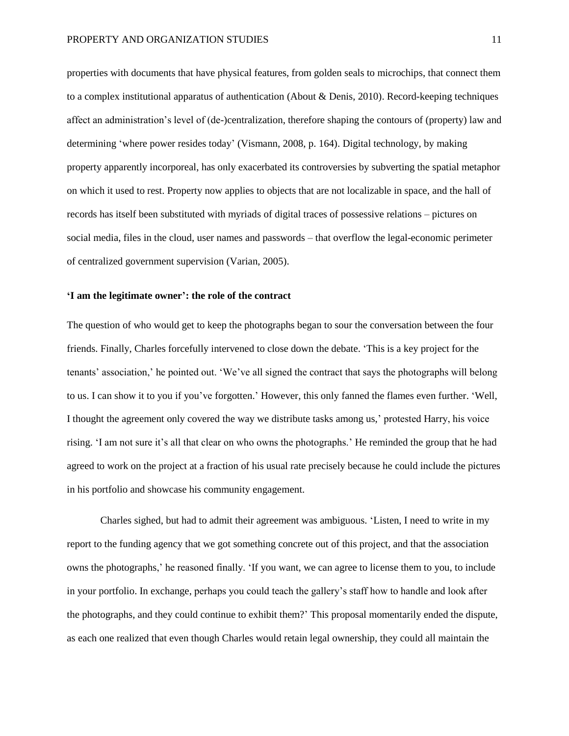properties with documents that have physical features, from golden seals to microchips, that connect them to a complex institutional apparatus of authentication (About & Denis, 2010). Record-keeping techniques affect an administration's level of (de-)centralization, therefore shaping the contours of (property) law and determining 'where power resides today' (Vismann, 2008, p. 164). Digital technology, by making property apparently incorporeal, has only exacerbated its controversies by subverting the spatial metaphor on which it used to rest. Property now applies to objects that are not localizable in space, and the hall of records has itself been substituted with myriads of digital traces of possessive relations – pictures on social media, files in the cloud, user names and passwords – that overflow the legal-economic perimeter of centralized government supervision (Varian, 2005).

## **'I am the legitimate owner': the role of the contract**

The question of who would get to keep the photographs began to sour the conversation between the four friends. Finally, Charles forcefully intervened to close down the debate. 'This is a key project for the tenants' association,' he pointed out. 'We've all signed the contract that says the photographs will belong to us. I can show it to you if you've forgotten.' However, this only fanned the flames even further. 'Well, I thought the agreement only covered the way we distribute tasks among us,' protested Harry, his voice rising. 'I am not sure it's all that clear on who owns the photographs.' He reminded the group that he had agreed to work on the project at a fraction of his usual rate precisely because he could include the pictures in his portfolio and showcase his community engagement.

Charles sighed, but had to admit their agreement was ambiguous. 'Listen, I need to write in my report to the funding agency that we got something concrete out of this project, and that the association owns the photographs,' he reasoned finally. 'If you want, we can agree to license them to you, to include in your portfolio. In exchange, perhaps you could teach the gallery's staff how to handle and look after the photographs, and they could continue to exhibit them?' This proposal momentarily ended the dispute, as each one realized that even though Charles would retain legal ownership, they could all maintain the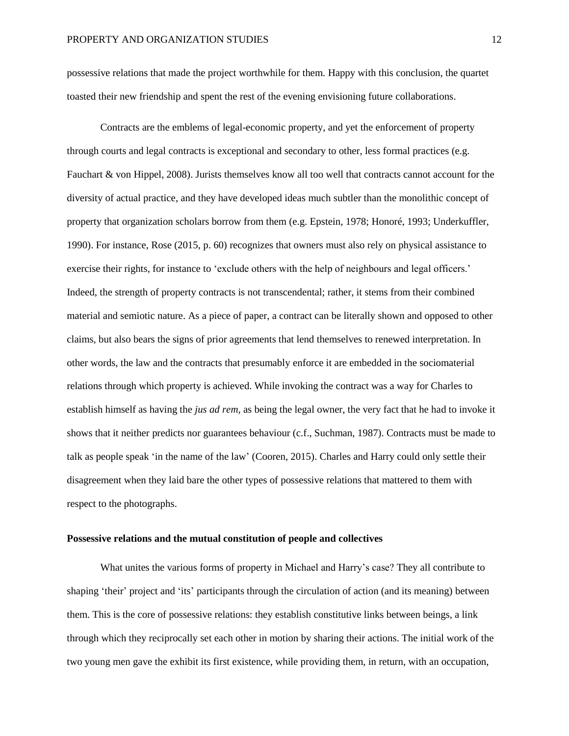possessive relations that made the project worthwhile for them. Happy with this conclusion, the quartet toasted their new friendship and spent the rest of the evening envisioning future collaborations.

Contracts are the emblems of legal-economic property, and yet the enforcement of property through courts and legal contracts is exceptional and secondary to other, less formal practices (e.g. Fauchart & von Hippel, 2008). Jurists themselves know all too well that contracts cannot account for the diversity of actual practice, and they have developed ideas much subtler than the monolithic concept of property that organization scholars borrow from them (e.g. Epstein, 1978; Honoré, 1993; Underkuffler, 1990). For instance, Rose (2015, p. 60) recognizes that owners must also rely on physical assistance to exercise their rights, for instance to 'exclude others with the help of neighbours and legal officers.' Indeed, the strength of property contracts is not transcendental; rather, it stems from their combined material and semiotic nature. As a piece of paper, a contract can be literally shown and opposed to other claims, but also bears the signs of prior agreements that lend themselves to renewed interpretation. In other words, the law and the contracts that presumably enforce it are embedded in the sociomaterial relations through which property is achieved. While invoking the contract was a way for Charles to establish himself as having the *jus ad rem*, as being the legal owner, the very fact that he had to invoke it shows that it neither predicts nor guarantees behaviour (c.f., Suchman, 1987). Contracts must be made to talk as people speak 'in the name of the law' (Cooren, 2015). Charles and Harry could only settle their disagreement when they laid bare the other types of possessive relations that mattered to them with respect to the photographs.

# **Possessive relations and the mutual constitution of people and collectives**

What unites the various forms of property in Michael and Harry's case? They all contribute to shaping 'their' project and 'its' participants through the circulation of action (and its meaning) between them. This is the core of possessive relations: they establish constitutive links between beings, a link through which they reciprocally set each other in motion by sharing their actions. The initial work of the two young men gave the exhibit its first existence, while providing them, in return, with an occupation,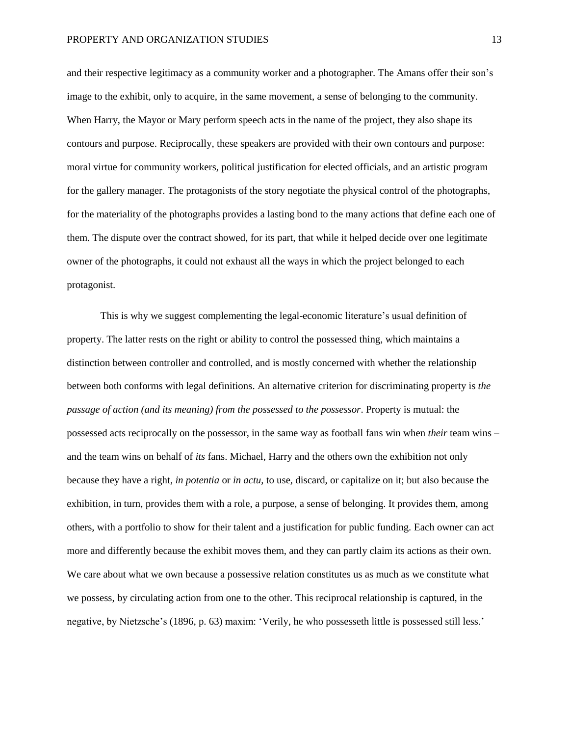and their respective legitimacy as a community worker and a photographer. The Amans offer their son's image to the exhibit, only to acquire, in the same movement, a sense of belonging to the community. When Harry, the Mayor or Mary perform speech acts in the name of the project, they also shape its contours and purpose. Reciprocally, these speakers are provided with their own contours and purpose: moral virtue for community workers, political justification for elected officials, and an artistic program for the gallery manager. The protagonists of the story negotiate the physical control of the photographs, for the materiality of the photographs provides a lasting bond to the many actions that define each one of them. The dispute over the contract showed, for its part, that while it helped decide over one legitimate owner of the photographs, it could not exhaust all the ways in which the project belonged to each protagonist.

This is why we suggest complementing the legal-economic literature's usual definition of property. The latter rests on the right or ability to control the possessed thing, which maintains a distinction between controller and controlled, and is mostly concerned with whether the relationship between both conforms with legal definitions. An alternative criterion for discriminating property is *the passage of action (and its meaning) from the possessed to the possessor*. Property is mutual: the possessed acts reciprocally on the possessor, in the same way as football fans win when *their* team wins – and the team wins on behalf of *its* fans. Michael, Harry and the others own the exhibition not only because they have a right, *in potentia* or *in actu*, to use, discard, or capitalize on it; but also because the exhibition, in turn, provides them with a role, a purpose, a sense of belonging. It provides them, among others, with a portfolio to show for their talent and a justification for public funding. Each owner can act more and differently because the exhibit moves them, and they can partly claim its actions as their own. We care about what we own because a possessive relation constitutes us as much as we constitute what we possess, by circulating action from one to the other. This reciprocal relationship is captured, in the negative, by Nietzsche's (1896, p. 63) maxim: 'Verily, he who possesseth little is possessed still less.'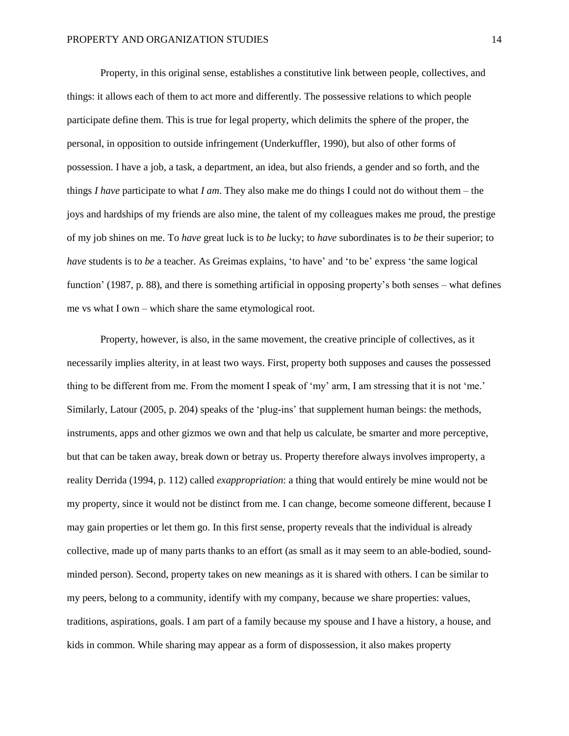Property, in this original sense, establishes a constitutive link between people, collectives, and things: it allows each of them to act more and differently. The possessive relations to which people participate define them. This is true for legal property, which delimits the sphere of the proper, the personal, in opposition to outside infringement (Underkuffler, 1990), but also of other forms of possession. I have a job, a task, a department, an idea, but also friends, a gender and so forth, and the things *I have* participate to what *I am*. They also make me do things I could not do without them – the joys and hardships of my friends are also mine, the talent of my colleagues makes me proud, the prestige of my job shines on me. To *have* great luck is to *be* lucky; to *have* subordinates is to *be* their superior; to *have* students is to *be* a teacher. As Greimas explains, 'to have' and 'to be' express 'the same logical function' (1987, p. 88), and there is something artificial in opposing property's both senses – what defines me vs what I own – which share the same etymological root.

Property, however, is also, in the same movement, the creative principle of collectives, as it necessarily implies alterity, in at least two ways. First, property both supposes and causes the possessed thing to be different from me. From the moment I speak of 'my' arm, I am stressing that it is not 'me.' Similarly, Latour (2005, p. 204) speaks of the 'plug-ins' that supplement human beings: the methods, instruments, apps and other gizmos we own and that help us calculate, be smarter and more perceptive, but that can be taken away, break down or betray us. Property therefore always involves improperty, a reality Derrida (1994, p. 112) called *exappropriation*: a thing that would entirely be mine would not be my property, since it would not be distinct from me*.* I can change, become someone different, because I may gain properties or let them go. In this first sense, property reveals that the individual is already collective, made up of many parts thanks to an effort (as small as it may seem to an able-bodied, soundminded person). Second, property takes on new meanings as it is shared with others. I can be similar to my peers, belong to a community, identify with my company, because we share properties: values, traditions, aspirations, goals. I am part of a family because my spouse and I have a history, a house, and kids in common. While sharing may appear as a form of dispossession, it also makes property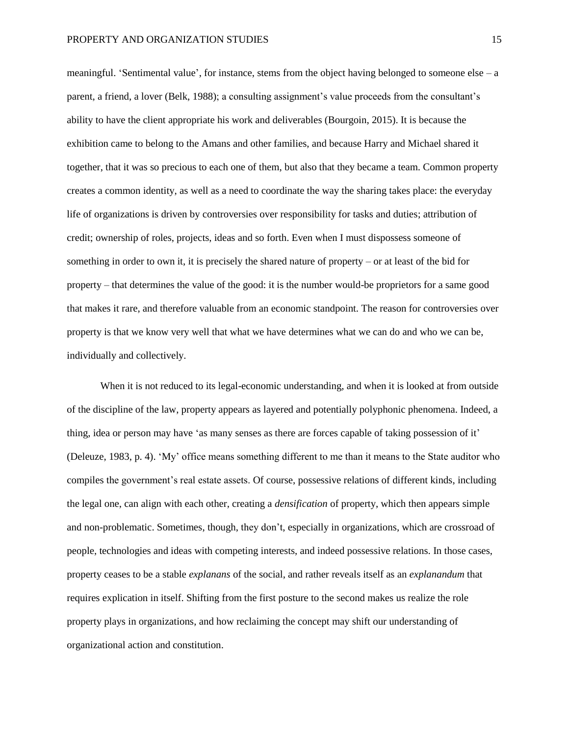meaningful. 'Sentimental value', for instance, stems from the object having belonged to someone else – a parent, a friend, a lover (Belk, 1988); a consulting assignment's value proceeds from the consultant's ability to have the client appropriate his work and deliverables (Bourgoin, 2015). It is because the exhibition came to belong to the Amans and other families, and because Harry and Michael shared it together, that it was so precious to each one of them, but also that they became a team. Common property creates a common identity, as well as a need to coordinate the way the sharing takes place: the everyday life of organizations is driven by controversies over responsibility for tasks and duties; attribution of credit; ownership of roles, projects, ideas and so forth. Even when I must dispossess someone of something in order to own it, it is precisely the shared nature of property – or at least of the bid for property – that determines the value of the good: it is the number would-be proprietors for a same good that makes it rare, and therefore valuable from an economic standpoint. The reason for controversies over property is that we know very well that what we have determines what we can do and who we can be, individually and collectively.

When it is not reduced to its legal-economic understanding, and when it is looked at from outside of the discipline of the law, property appears as layered and potentially polyphonic phenomena. Indeed, a thing, idea or person may have 'as many senses as there are forces capable of taking possession of it' (Deleuze, 1983, p. 4). 'My' office means something different to me than it means to the State auditor who compiles the government's real estate assets. Of course, possessive relations of different kinds, including the legal one, can align with each other, creating a *densification* of property, which then appears simple and non-problematic. Sometimes, though, they don't, especially in organizations, which are crossroad of people, technologies and ideas with competing interests, and indeed possessive relations. In those cases, property ceases to be a stable *explanans* of the social, and rather reveals itself as an *explanandum* that requires explication in itself. Shifting from the first posture to the second makes us realize the role property plays in organizations, and how reclaiming the concept may shift our understanding of organizational action and constitution.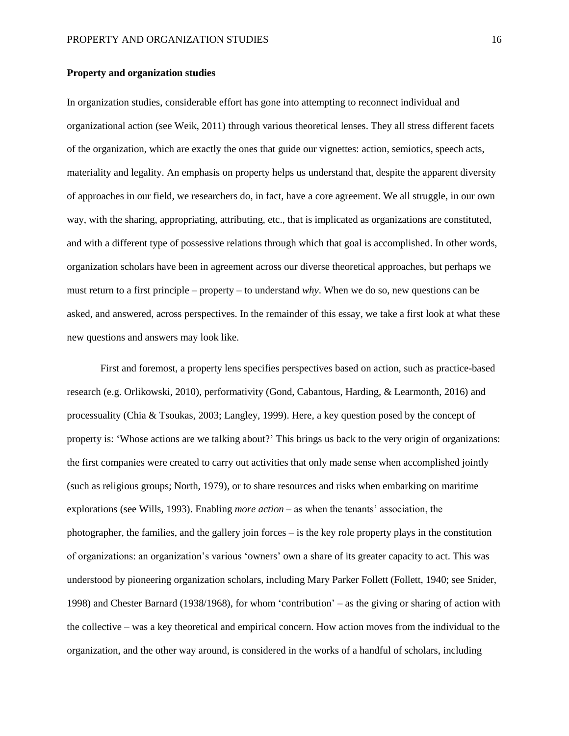### **Property and organization studies**

In organization studies, considerable effort has gone into attempting to reconnect individual and organizational action (see Weik, 2011) through various theoretical lenses. They all stress different facets of the organization, which are exactly the ones that guide our vignettes: action, semiotics, speech acts, materiality and legality. An emphasis on property helps us understand that, despite the apparent diversity of approaches in our field, we researchers do, in fact, have a core agreement. We all struggle, in our own way, with the sharing, appropriating, attributing, etc., that is implicated as organizations are constituted, and with a different type of possessive relations through which that goal is accomplished. In other words, organization scholars have been in agreement across our diverse theoretical approaches, but perhaps we must return to a first principle – property – to understand *why*. When we do so, new questions can be asked, and answered, across perspectives. In the remainder of this essay, we take a first look at what these new questions and answers may look like.

First and foremost, a property lens specifies perspectives based on action, such as practice-based research (e.g. Orlikowski, 2010), performativity (Gond, Cabantous, Harding, & Learmonth, 2016) and processuality (Chia & Tsoukas, 2003; Langley, 1999). Here, a key question posed by the concept of property is: 'Whose actions are we talking about?' This brings us back to the very origin of organizations: the first companies were created to carry out activities that only made sense when accomplished jointly (such as religious groups; North, 1979), or to share resources and risks when embarking on maritime explorations (see Wills, 1993). Enabling *more action* – as when the tenants' association, the photographer, the families, and the gallery join forces – is the key role property plays in the constitution of organizations: an organization's various 'owners' own a share of its greater capacity to act. This was understood by pioneering organization scholars, including Mary Parker Follett (Follett, 1940; see Snider, 1998) and Chester Barnard (1938/1968), for whom 'contribution' – as the giving or sharing of action with the collective – was a key theoretical and empirical concern. How action moves from the individual to the organization, and the other way around, is considered in the works of a handful of scholars, including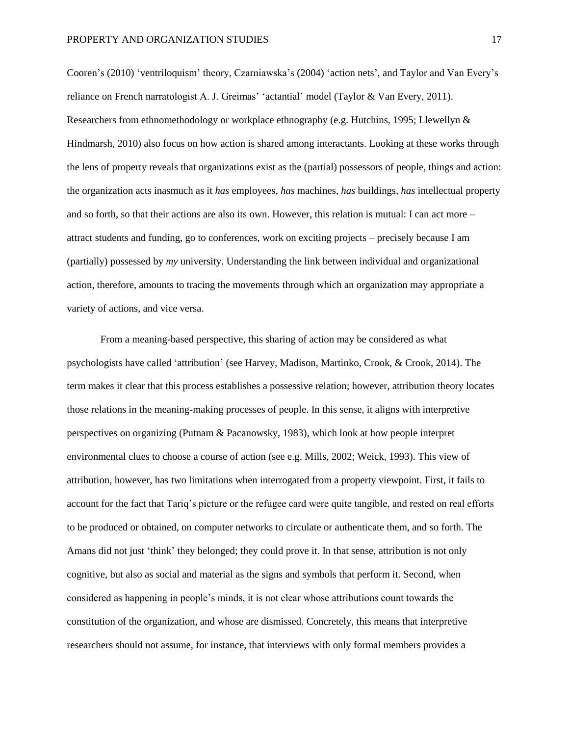Cooren's (2010) 'ventriloquism' theory, Czarniawska's (2004) 'action nets', and Taylor and Van Every's reliance on French narratologist A. J. Greimas' 'actantial' model (Taylor & Van Every, 2011). Researchers from ethnomethodology or workplace ethnography (e.g. Hutchins, 1995; Llewellyn & Hindmarsh, 2010) also focus on how action is shared among interactants. Looking at these works through the lens of property reveals that organizations exist as the (partial) possessors of people, things and action: the organization acts inasmuch as it *has* employees, *has* machines, *has* buildings, *has* intellectual property and so forth, so that their actions are also its own. However, this relation is mutual: I can act more – attract students and funding, go to conferences, work on exciting projects – precisely because I am (partially) possessed by *my* university. Understanding the link between individual and organizational action, therefore, amounts to tracing the movements through which an organization may appropriate a variety of actions, and vice versa.

From a meaning-based perspective, this sharing of action may be considered as what psychologists have called 'attribution' (see Harvey, Madison, Martinko, Crook, & Crook, 2014). The term makes it clear that this process establishes a possessive relation; however, attribution theory locates those relations in the meaning-making processes of people. In this sense, it aligns with interpretive perspectives on organizing (Putnam & Pacanowsky, 1983), which look at how people interpret environmental clues to choose a course of action (see e.g. Mills, 2002; Weick, 1993). This view of attribution, however, has two limitations when interrogated from a property viewpoint. First, it fails to account for the fact that Tariq's picture or the refugee card were quite tangible, and rested on real efforts to be produced or obtained, on computer networks to circulate or authenticate them, and so forth. The Amans did not just 'think' they belonged; they could prove it. In that sense, attribution is not only cognitive, but also as social and material as the signs and symbols that perform it. Second, when considered as happening in people's minds, it is not clear whose attributions count towards the constitution of the organization, and whose are dismissed. Concretely, this means that interpretive researchers should not assume, for instance, that interviews with only formal members provides a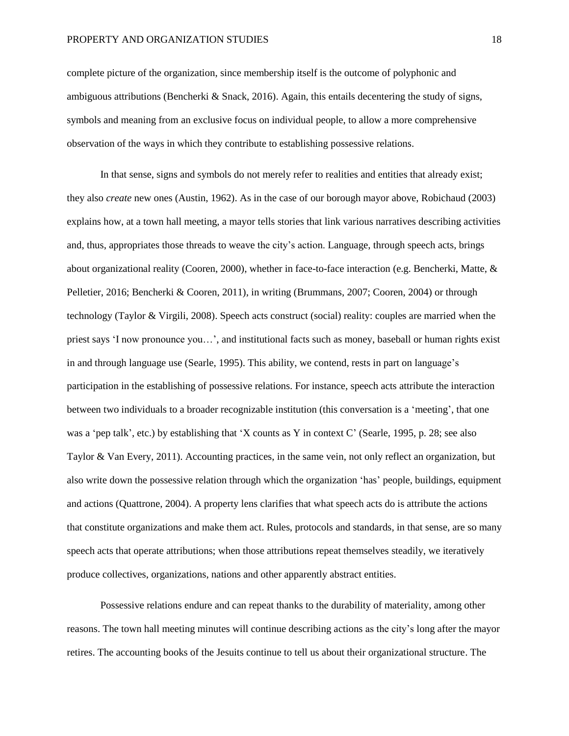complete picture of the organization, since membership itself is the outcome of polyphonic and ambiguous attributions (Bencherki & Snack, 2016). Again, this entails decentering the study of signs, symbols and meaning from an exclusive focus on individual people, to allow a more comprehensive observation of the ways in which they contribute to establishing possessive relations.

In that sense, signs and symbols do not merely refer to realities and entities that already exist; they also *create* new ones (Austin, 1962). As in the case of our borough mayor above, Robichaud (2003) explains how, at a town hall meeting, a mayor tells stories that link various narratives describing activities and, thus, appropriates those threads to weave the city's action. Language, through speech acts, brings about organizational reality (Cooren, 2000), whether in face-to-face interaction (e.g. Bencherki, Matte, & Pelletier, 2016; Bencherki & Cooren, 2011), in writing (Brummans, 2007; Cooren, 2004) or through technology (Taylor & Virgili, 2008). Speech acts construct (social) reality: couples are married when the priest says 'I now pronounce you…', and institutional facts such as money, baseball or human rights exist in and through language use (Searle, 1995). This ability, we contend, rests in part on language's participation in the establishing of possessive relations. For instance, speech acts attribute the interaction between two individuals to a broader recognizable institution (this conversation is a 'meeting', that one was a 'pep talk', etc.) by establishing that 'X counts as Y in context C' (Searle, 1995, p. 28; see also Taylor & Van Every, 2011). Accounting practices, in the same vein, not only reflect an organization, but also write down the possessive relation through which the organization 'has' people, buildings, equipment and actions (Quattrone, 2004). A property lens clarifies that what speech acts do is attribute the actions that constitute organizations and make them act. Rules, protocols and standards, in that sense, are so many speech acts that operate attributions; when those attributions repeat themselves steadily, we iteratively produce collectives, organizations, nations and other apparently abstract entities.

Possessive relations endure and can repeat thanks to the durability of materiality, among other reasons. The town hall meeting minutes will continue describing actions as the city's long after the mayor retires. The accounting books of the Jesuits continue to tell us about their organizational structure. The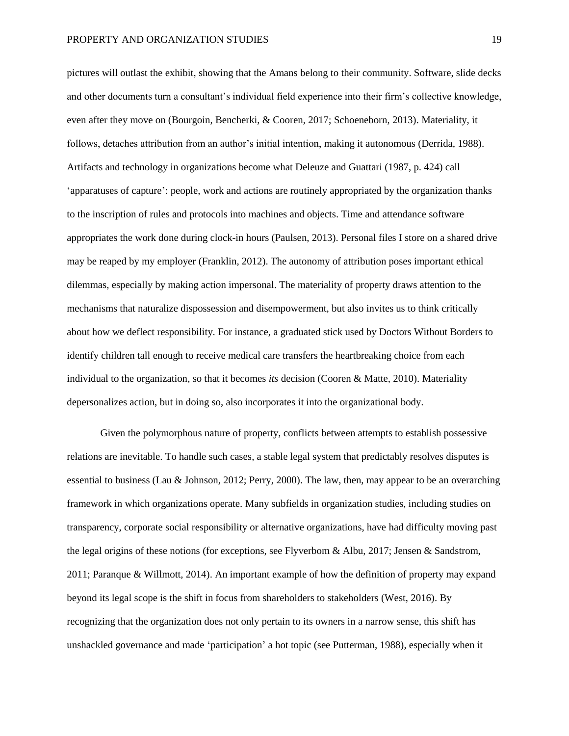pictures will outlast the exhibit, showing that the Amans belong to their community. Software, slide decks and other documents turn a consultant's individual field experience into their firm's collective knowledge, even after they move on (Bourgoin, Bencherki, & Cooren, 2017; Schoeneborn, 2013). Materiality, it follows, detaches attribution from an author's initial intention, making it autonomous (Derrida, 1988). Artifacts and technology in organizations become what Deleuze and Guattari (1987, p. 424) call 'apparatuses of capture': people, work and actions are routinely appropriated by the organization thanks to the inscription of rules and protocols into machines and objects. Time and attendance software appropriates the work done during clock-in hours (Paulsen, 2013). Personal files I store on a shared drive may be reaped by my employer (Franklin, 2012). The autonomy of attribution poses important ethical dilemmas, especially by making action impersonal. The materiality of property draws attention to the mechanisms that naturalize dispossession and disempowerment, but also invites us to think critically about how we deflect responsibility. For instance, a graduated stick used by Doctors Without Borders to identify children tall enough to receive medical care transfers the heartbreaking choice from each individual to the organization, so that it becomes *its* decision (Cooren & Matte, 2010). Materiality depersonalizes action, but in doing so, also incorporates it into the organizational body.

Given the polymorphous nature of property, conflicts between attempts to establish possessive relations are inevitable. To handle such cases, a stable legal system that predictably resolves disputes is essential to business (Lau & Johnson, 2012; Perry, 2000). The law, then, may appear to be an overarching framework in which organizations operate. Many subfields in organization studies, including studies on transparency, corporate social responsibility or alternative organizations, have had difficulty moving past the legal origins of these notions (for exceptions, see Flyverbom & Albu, 2017; Jensen & Sandstrom, 2011; Paranque & Willmott, 2014). An important example of how the definition of property may expand beyond its legal scope is the shift in focus from shareholders to stakeholders (West, 2016). By recognizing that the organization does not only pertain to its owners in a narrow sense, this shift has unshackled governance and made 'participation' a hot topic (see Putterman, 1988), especially when it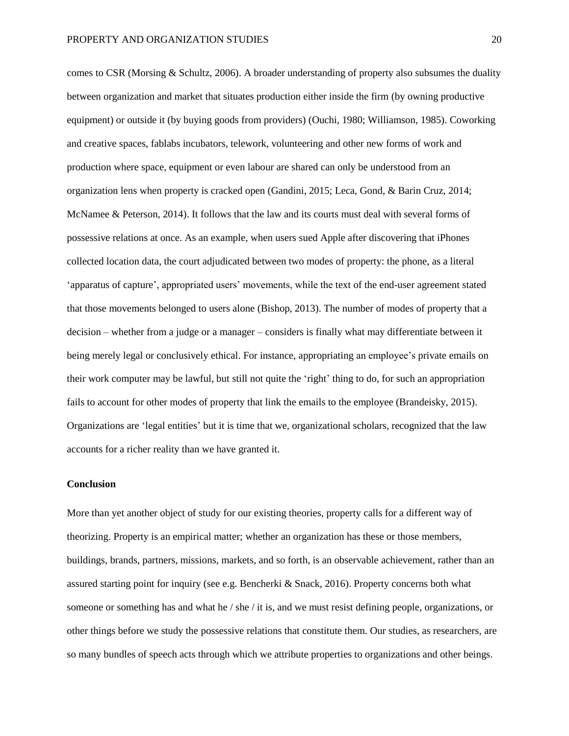comes to CSR (Morsing & Schultz, 2006). A broader understanding of property also subsumes the duality between organization and market that situates production either inside the firm (by owning productive equipment) or outside it (by buying goods from providers) (Ouchi, 1980; Williamson, 1985). Coworking and creative spaces, fablabs incubators, telework, volunteering and other new forms of work and production where space, equipment or even labour are shared can only be understood from an organization lens when property is cracked open (Gandini, 2015; Leca, Gond, & Barin Cruz, 2014; McNamee & Peterson, 2014). It follows that the law and its courts must deal with several forms of possessive relations at once. As an example, when users sued Apple after discovering that iPhones collected location data, the court adjudicated between two modes of property: the phone, as a literal 'apparatus of capture', appropriated users' movements, while the text of the end-user agreement stated that those movements belonged to users alone (Bishop, 2013). The number of modes of property that a decision – whether from a judge or a manager – considers is finally what may differentiate between it being merely legal or conclusively ethical. For instance, appropriating an employee's private emails on their work computer may be lawful, but still not quite the 'right' thing to do, for such an appropriation fails to account for other modes of property that link the emails to the employee (Brandeisky, 2015). Organizations are 'legal entities' but it is time that we, organizational scholars, recognized that the law accounts for a richer reality than we have granted it.

## **Conclusion**

More than yet another object of study for our existing theories, property calls for a different way of theorizing. Property is an empirical matter; whether an organization has these or those members, buildings, brands, partners, missions, markets, and so forth, is an observable achievement, rather than an assured starting point for inquiry (see e.g. Bencherki & Snack, 2016). Property concerns both what someone or something has and what he / she / it is, and we must resist defining people, organizations, or other things before we study the possessive relations that constitute them. Our studies, as researchers, are so many bundles of speech acts through which we attribute properties to organizations and other beings.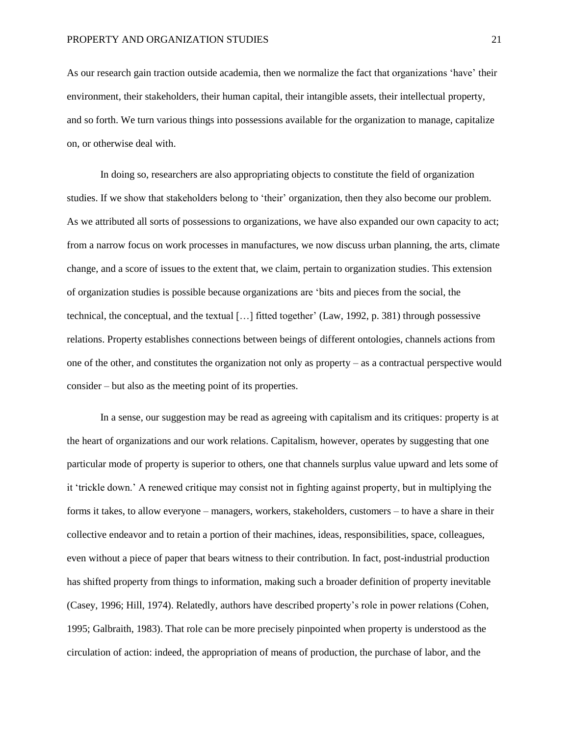As our research gain traction outside academia, then we normalize the fact that organizations 'have' their environment, their stakeholders, their human capital, their intangible assets, their intellectual property, and so forth. We turn various things into possessions available for the organization to manage, capitalize on, or otherwise deal with.

In doing so, researchers are also appropriating objects to constitute the field of organization studies. If we show that stakeholders belong to 'their' organization, then they also become our problem. As we attributed all sorts of possessions to organizations, we have also expanded our own capacity to act; from a narrow focus on work processes in manufactures, we now discuss urban planning, the arts, climate change, and a score of issues to the extent that, we claim, pertain to organization studies. This extension of organization studies is possible because organizations are 'bits and pieces from the social, the technical, the conceptual, and the textual […] fitted together' (Law, 1992, p. 381) through possessive relations. Property establishes connections between beings of different ontologies, channels actions from one of the other, and constitutes the organization not only as property – as a contractual perspective would consider – but also as the meeting point of its properties.

In a sense, our suggestion may be read as agreeing with capitalism and its critiques: property is at the heart of organizations and our work relations. Capitalism, however, operates by suggesting that one particular mode of property is superior to others, one that channels surplus value upward and lets some of it 'trickle down.' A renewed critique may consist not in fighting against property, but in multiplying the forms it takes, to allow everyone – managers, workers, stakeholders, customers – to have a share in their collective endeavor and to retain a portion of their machines, ideas, responsibilities, space, colleagues, even without a piece of paper that bears witness to their contribution. In fact, post-industrial production has shifted property from things to information, making such a broader definition of property inevitable (Casey, 1996; Hill, 1974). Relatedly, authors have described property's role in power relations (Cohen, 1995; Galbraith, 1983). That role can be more precisely pinpointed when property is understood as the circulation of action: indeed, the appropriation of means of production, the purchase of labor, and the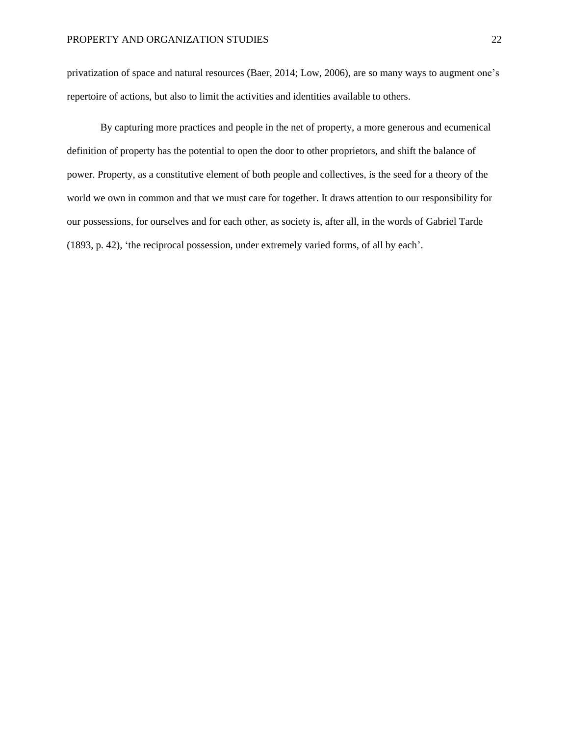privatization of space and natural resources (Baer, 2014; Low, 2006), are so many ways to augment one's repertoire of actions, but also to limit the activities and identities available to others.

By capturing more practices and people in the net of property, a more generous and ecumenical definition of property has the potential to open the door to other proprietors, and shift the balance of power. Property, as a constitutive element of both people and collectives, is the seed for a theory of the world we own in common and that we must care for together. It draws attention to our responsibility for our possessions, for ourselves and for each other, as society is, after all, in the words of Gabriel Tarde (1893, p. 42), 'the reciprocal possession, under extremely varied forms, of all by each'.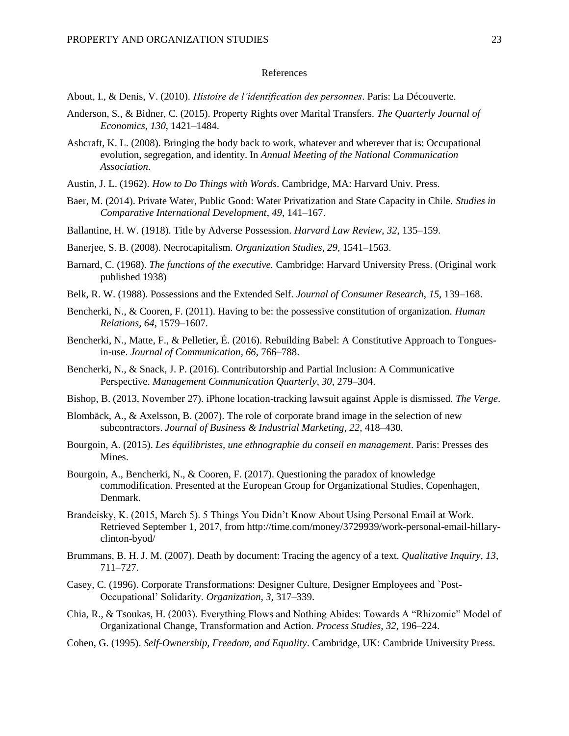### References

- About, I., & Denis, V. (2010). *Histoire de l'identification des personnes*. Paris: La Découverte.
- Anderson, S., & Bidner, C. (2015). Property Rights over Marital Transfers. *The Quarterly Journal of Economics*, *130*, 1421–1484.
- Ashcraft, K. L. (2008). Bringing the body back to work, whatever and wherever that is: Occupational evolution, segregation, and identity. In *Annual Meeting of the National Communication Association*.
- Austin, J. L. (1962). *How to Do Things with Words*. Cambridge, MA: Harvard Univ. Press.
- Baer, M. (2014). Private Water, Public Good: Water Privatization and State Capacity in Chile. *Studies in Comparative International Development*, *49*, 141–167.
- Ballantine, H. W. (1918). Title by Adverse Possession. *Harvard Law Review*, *32*, 135–159.
- Banerjee, S. B. (2008). Necrocapitalism. *Organization Studies*, *29*, 1541–1563.
- Barnard, C. (1968). *The functions of the executive.* Cambridge: Harvard University Press. (Original work published 1938)
- Belk, R. W. (1988). Possessions and the Extended Self. *Journal of Consumer Research*, *15*, 139–168.
- Bencherki, N., & Cooren, F. (2011). Having to be: the possessive constitution of organization. *Human Relations*, *64*, 1579–1607.
- Bencherki, N., Matte, F., & Pelletier, É. (2016). Rebuilding Babel: A Constitutive Approach to Tonguesin-use. *Journal of Communication*, *66*, 766–788.
- Bencherki, N., & Snack, J. P. (2016). Contributorship and Partial Inclusion: A Communicative Perspective. *Management Communication Quarterly*, *30*, 279–304.
- Bishop, B. (2013, November 27). iPhone location-tracking lawsuit against Apple is dismissed. *The Verge*.
- Blombäck, A., & Axelsson, B. (2007). The role of corporate brand image in the selection of new subcontractors. *Journal of Business & Industrial Marketing*, *22*, 418–430.
- Bourgoin, A. (2015). *Les équilibristes, une ethnographie du conseil en management*. Paris: Presses des Mines.
- Bourgoin, A., Bencherki, N., & Cooren, F. (2017). Questioning the paradox of knowledge commodification. Presented at the European Group for Organizational Studies, Copenhagen, Denmark.
- Brandeisky, K. (2015, March 5). 5 Things You Didn't Know About Using Personal Email at Work. Retrieved September 1, 2017, from http://time.com/money/3729939/work-personal-email-hillaryclinton-byod/
- Brummans, B. H. J. M. (2007). Death by document: Tracing the agency of a text. *Qualitative Inquiry*, *13*, 711–727.
- Casey, C. (1996). Corporate Transformations: Designer Culture, Designer Employees and `Post-Occupational' Solidarity. *Organization*, *3*, 317–339.
- Chia, R., & Tsoukas, H. (2003). Everything Flows and Nothing Abides: Towards A "Rhizomic" Model of Organizational Change, Transformation and Action. *Process Studies*, *32*, 196–224.
- Cohen, G. (1995). *Self-Ownership, Freedom, and Equality*. Cambridge, UK: Cambride University Press.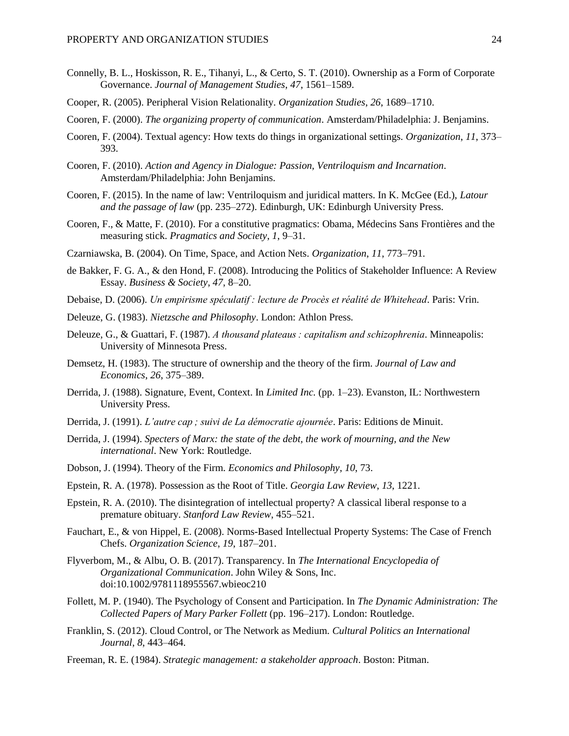- Connelly, B. L., Hoskisson, R. E., Tihanyi, L., & Certo, S. T. (2010). Ownership as a Form of Corporate Governance. *Journal of Management Studies*, *47*, 1561–1589.
- Cooper, R. (2005). Peripheral Vision Relationality. *Organization Studies*, *26*, 1689–1710.
- Cooren, F. (2000). *The organizing property of communication*. Amsterdam/Philadelphia: J. Benjamins.
- Cooren, F. (2004). Textual agency: How texts do things in organizational settings. *Organization*, *11*, 373– 393.
- Cooren, F. (2010). *Action and Agency in Dialogue: Passion, Ventriloquism and Incarnation*. Amsterdam/Philadelphia: John Benjamins.
- Cooren, F. (2015). In the name of law: Ventriloquism and juridical matters. In K. McGee (Ed.), *Latour and the passage of law* (pp. 235–272). Edinburgh, UK: Edinburgh University Press.
- Cooren, F., & Matte, F. (2010). For a constitutive pragmatics: Obama, Médecins Sans Frontières and the measuring stick. *Pragmatics and Society*, *1*, 9–31.
- Czarniawska, B. (2004). On Time, Space, and Action Nets. *Organization*, *11*, 773–791.
- de Bakker, F. G. A., & den Hond, F. (2008). Introducing the Politics of Stakeholder Influence: A Review Essay. *Business & Society*, *47*, 8–20.
- Debaise, D. (2006). *Un empirisme spéculatif : lecture de Procès et réalité de Whitehead*. Paris: Vrin.
- Deleuze, G. (1983). *Nietzsche and Philosophy*. London: Athlon Press.
- Deleuze, G., & Guattari, F. (1987). *A thousand plateaus : capitalism and schizophrenia*. Minneapolis: University of Minnesota Press.
- Demsetz, H. (1983). The structure of ownership and the theory of the firm. *Journal of Law and Economics*, *26*, 375–389.
- Derrida, J. (1988). Signature, Event, Context. In *Limited Inc.* (pp. 1–23). Evanston, IL: Northwestern University Press.
- Derrida, J. (1991). *L'autre cap ; suivi de La démocratie ajournée*. Paris: Editions de Minuit.
- Derrida, J. (1994). *Specters of Marx: the state of the debt, the work of mourning, and the New international*. New York: Routledge.
- Dobson, J. (1994). Theory of the Firm. *Economics and Philosophy*, *10*, 73.
- Epstein, R. A. (1978). Possession as the Root of Title. *Georgia Law Review*, *13*, 1221.
- Epstein, R. A. (2010). The disintegration of intellectual property? A classical liberal response to a premature obituary. *Stanford Law Review*, 455–521.
- Fauchart, E., & von Hippel, E. (2008). Norms-Based Intellectual Property Systems: The Case of French Chefs. *Organization Science*, *19*, 187–201.
- Flyverbom, M., & Albu, O. B. (2017). Transparency. In *The International Encyclopedia of Organizational Communication*. John Wiley & Sons, Inc. doi:10.1002/9781118955567.wbieoc210
- Follett, M. P. (1940). The Psychology of Consent and Participation. In *The Dynamic Administration: The Collected Papers of Mary Parker Follett* (pp. 196–217). London: Routledge.
- Franklin, S. (2012). Cloud Control, or The Network as Medium. *Cultural Politics an International Journal*, *8*, 443–464.
- Freeman, R. E. (1984). *Strategic management: a stakeholder approach*. Boston: Pitman.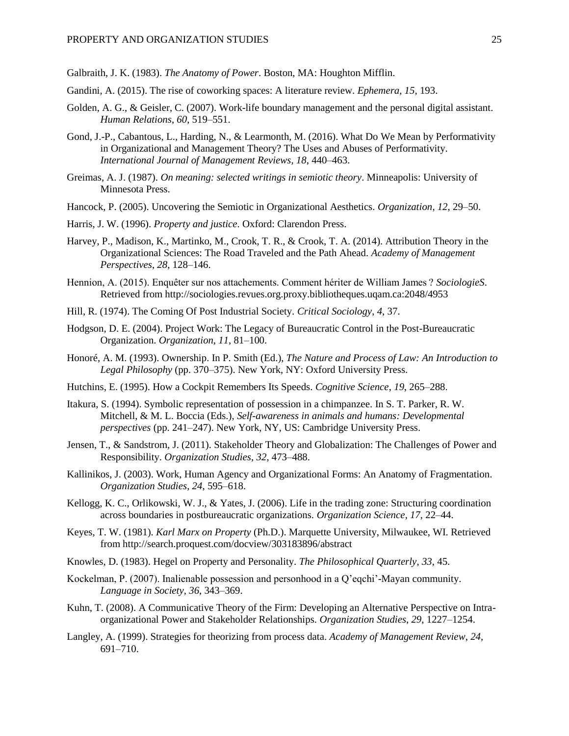Galbraith, J. K. (1983). *The Anatomy of Power*. Boston, MA: Houghton Mifflin.

- Gandini, A. (2015). The rise of coworking spaces: A literature review. *Ephemera*, *15*, 193.
- Golden, A. G., & Geisler, C. (2007). Work-life boundary management and the personal digital assistant. *Human Relations*, *60*, 519–551.
- Gond, J.-P., Cabantous, L., Harding, N., & Learmonth, M. (2016). What Do We Mean by Performativity in Organizational and Management Theory? The Uses and Abuses of Performativity. *International Journal of Management Reviews*, *18*, 440–463.
- Greimas, A. J. (1987). *On meaning: selected writings in semiotic theory*. Minneapolis: University of Minnesota Press.
- Hancock, P. (2005). Uncovering the Semiotic in Organizational Aesthetics. *Organization*, *12*, 29–50.
- Harris, J. W. (1996). *Property and justice*. Oxford: Clarendon Press.
- Harvey, P., Madison, K., Martinko, M., Crook, T. R., & Crook, T. A. (2014). Attribution Theory in the Organizational Sciences: The Road Traveled and the Path Ahead. *Academy of Management Perspectives*, *28*, 128–146.
- Hennion, A. (2015). Enquêter sur nos attachements. Comment hériter de William James ? *SociologieS*. Retrieved from http://sociologies.revues.org.proxy.bibliotheques.uqam.ca:2048/4953
- Hill, R. (1974). The Coming Of Post Industrial Society. *Critical Sociology*, *4*, 37.
- Hodgson, D. E. (2004). Project Work: The Legacy of Bureaucratic Control in the Post-Bureaucratic Organization. *Organization*, *11*, 81–100.
- Honoré, A. M. (1993). Ownership. In P. Smith (Ed.), *The Nature and Process of Law: An Introduction to Legal Philosophy* (pp. 370–375). New York, NY: Oxford University Press.
- Hutchins, E. (1995). How a Cockpit Remembers Its Speeds. *Cognitive Science*, *19*, 265–288.
- Itakura, S. (1994). Symbolic representation of possession in a chimpanzee. In S. T. Parker, R. W. Mitchell, & M. L. Boccia (Eds.), *Self-awareness in animals and humans: Developmental perspectives* (pp. 241–247). New York, NY, US: Cambridge University Press.
- Jensen, T., & Sandstrom, J. (2011). Stakeholder Theory and Globalization: The Challenges of Power and Responsibility. *Organization Studies*, *32*, 473–488.
- Kallinikos, J. (2003). Work, Human Agency and Organizational Forms: An Anatomy of Fragmentation. *Organization Studies*, *24*, 595–618.
- Kellogg, K. C., Orlikowski, W. J., & Yates, J. (2006). Life in the trading zone: Structuring coordination across boundaries in postbureaucratic organizations. *Organization Science*, *17*, 22–44.
- Keyes, T. W. (1981). *Karl Marx on Property* (Ph.D.). Marquette University, Milwaukee, WI. Retrieved from http://search.proquest.com/docview/303183896/abstract
- Knowles, D. (1983). Hegel on Property and Personality. *The Philosophical Quarterly*, *33*, 45.
- Kockelman, P. (2007). Inalienable possession and personhood in a Q'eqchi'-Mayan community. *Language in Society*, *36*, 343–369.
- Kuhn, T. (2008). A Communicative Theory of the Firm: Developing an Alternative Perspective on Intraorganizational Power and Stakeholder Relationships. *Organization Studies*, *29*, 1227–1254.
- Langley, A. (1999). Strategies for theorizing from process data. *Academy of Management Review*, *24*, 691–710.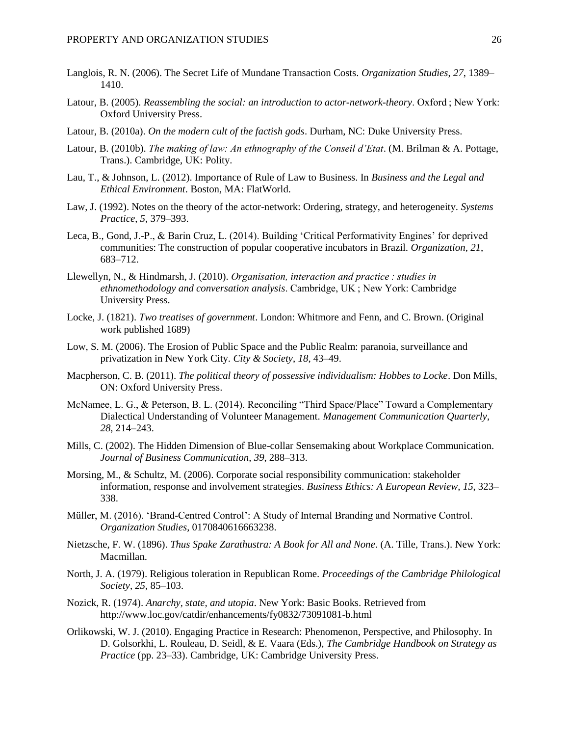- Langlois, R. N. (2006). The Secret Life of Mundane Transaction Costs. *Organization Studies*, *27*, 1389– 1410.
- Latour, B. (2005). *Reassembling the social: an introduction to actor-network-theory*. Oxford ; New York: Oxford University Press.
- Latour, B. (2010a). *On the modern cult of the factish gods*. Durham, NC: Duke University Press.
- Latour, B. (2010b). *The making of law: An ethnography of the Conseil d'Etat*. (M. Brilman & A. Pottage, Trans.). Cambridge, UK: Polity.
- Lau, T., & Johnson, L. (2012). Importance of Rule of Law to Business. In *Business and the Legal and Ethical Environment*. Boston, MA: FlatWorld.
- Law, J. (1992). Notes on the theory of the actor-network: Ordering, strategy, and heterogeneity. *Systems Practice*, *5*, 379–393.
- Leca, B., Gond, J.-P., & Barin Cruz, L. (2014). Building 'Critical Performativity Engines' for deprived communities: The construction of popular cooperative incubators in Brazil. *Organization*, *21*, 683–712.
- Llewellyn, N., & Hindmarsh, J. (2010). *Organisation, interaction and practice : studies in ethnomethodology and conversation analysis*. Cambridge, UK ; New York: Cambridge University Press.
- Locke, J. (1821). *Two treatises of government*. London: Whitmore and Fenn, and C. Brown. (Original work published 1689)
- Low, S. M. (2006). The Erosion of Public Space and the Public Realm: paranoia, surveillance and privatization in New York City. *City & Society*, *18*, 43–49.
- Macpherson, C. B. (2011). *The political theory of possessive individualism: Hobbes to Locke*. Don Mills, ON: Oxford University Press.
- McNamee, L. G., & Peterson, B. L. (2014). Reconciling "Third Space/Place" Toward a Complementary Dialectical Understanding of Volunteer Management. *Management Communication Quarterly*, *28*, 214–243.
- Mills, C. (2002). The Hidden Dimension of Blue-collar Sensemaking about Workplace Communication. *Journal of Business Communication*, *39*, 288–313.
- Morsing, M., & Schultz, M. (2006). Corporate social responsibility communication: stakeholder information, response and involvement strategies. *Business Ethics: A European Review*, *15*, 323– 338.
- Müller, M. (2016). 'Brand-Centred Control': A Study of Internal Branding and Normative Control. *Organization Studies*, 0170840616663238.
- Nietzsche, F. W. (1896). *Thus Spake Zarathustra: A Book for All and None*. (A. Tille, Trans.). New York: Macmillan.
- North, J. A. (1979). Religious toleration in Republican Rome. *Proceedings of the Cambridge Philological Society*, *25*, 85–103.
- Nozick, R. (1974). *Anarchy, state, and utopia*. New York: Basic Books. Retrieved from http://www.loc.gov/catdir/enhancements/fy0832/73091081-b.html
- Orlikowski, W. J. (2010). Engaging Practice in Research: Phenomenon, Perspective, and Philosophy. In D. Golsorkhi, L. Rouleau, D. Seidl, & E. Vaara (Eds.), *The Cambridge Handbook on Strategy as Practice* (pp. 23–33). Cambridge, UK: Cambridge University Press.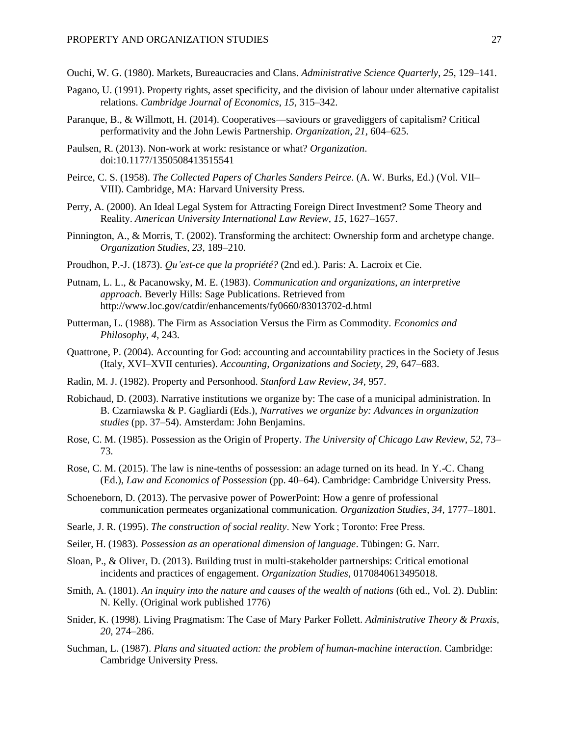Ouchi, W. G. (1980). Markets, Bureaucracies and Clans. *Administrative Science Quarterly*, *25*, 129–141.

- Pagano, U. (1991). Property rights, asset specificity, and the division of labour under alternative capitalist relations. *Cambridge Journal of Economics*, *15*, 315–342.
- Paranque, B., & Willmott, H. (2014). Cooperatives—saviours or gravediggers of capitalism? Critical performativity and the John Lewis Partnership. *Organization*, *21*, 604–625.
- Paulsen, R. (2013). Non-work at work: resistance or what? *Organization*. doi:10.1177/1350508413515541
- Peirce, C. S. (1958). *The Collected Papers of Charles Sanders Peirce*. (A. W. Burks, Ed.) (Vol. VII– VIII). Cambridge, MA: Harvard University Press.
- Perry, A. (2000). An Ideal Legal System for Attracting Foreign Direct Investment? Some Theory and Reality. *American University International Law Review*, *15*, 1627–1657.
- Pinnington, A., & Morris, T. (2002). Transforming the architect: Ownership form and archetype change. *Organization Studies*, *23*, 189–210.
- Proudhon, P.-J. (1873). *Qu'est-ce que la propriété?* (2nd ed.). Paris: A. Lacroix et Cie.
- Putnam, L. L., & Pacanowsky, M. E. (1983). *Communication and organizations, an interpretive approach*. Beverly Hills: Sage Publications. Retrieved from http://www.loc.gov/catdir/enhancements/fy0660/83013702-d.html
- Putterman, L. (1988). The Firm as Association Versus the Firm as Commodity. *Economics and Philosophy*, *4*, 243.
- Quattrone, P. (2004). Accounting for God: accounting and accountability practices in the Society of Jesus (Italy, XVI–XVII centuries). *Accounting, Organizations and Society*, *29*, 647–683.
- Radin, M. J. (1982). Property and Personhood. *Stanford Law Review*, *34*, 957.
- Robichaud, D. (2003). Narrative institutions we organize by: The case of a municipal administration. In B. Czarniawska & P. Gagliardi (Eds.), *Narratives we organize by: Advances in organization studies* (pp. 37–54). Amsterdam: John Benjamins.
- Rose, C. M. (1985). Possession as the Origin of Property. *The University of Chicago Law Review*, *52*, 73– 73.
- Rose, C. M. (2015). The law is nine-tenths of possession: an adage turned on its head. In Y.-C. Chang (Ed.), *Law and Economics of Possession* (pp. 40–64). Cambridge: Cambridge University Press.
- Schoeneborn, D. (2013). The pervasive power of PowerPoint: How a genre of professional communication permeates organizational communication. *Organization Studies*, *34*, 1777–1801.
- Searle, J. R. (1995). *The construction of social reality*. New York ; Toronto: Free Press.
- Seiler, H. (1983). *Possession as an operational dimension of language*. Tübingen: G. Narr.
- Sloan, P., & Oliver, D. (2013). Building trust in multi-stakeholder partnerships: Critical emotional incidents and practices of engagement. *Organization Studies*, 0170840613495018.
- Smith, A. (1801). *An inquiry into the nature and causes of the wealth of nations* (6th ed., Vol. 2). Dublin: N. Kelly. (Original work published 1776)
- Snider, K. (1998). Living Pragmatism: The Case of Mary Parker Follett. *Administrative Theory & Praxis*, *20*, 274–286.
- Suchman, L. (1987). *Plans and situated action: the problem of human-machine interaction*. Cambridge: Cambridge University Press.